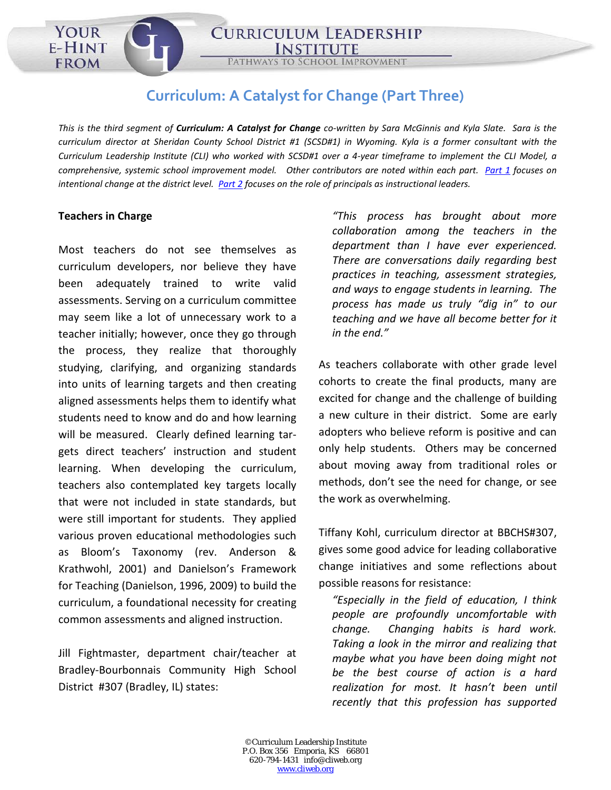CURRICULUM: A CATALYST FOR CHANGE

**CURRICULUM LEADERSHIP** 

## **Curriculum: A Catalyst for Change (Part Three)**

*This is the third segment of Curriculum: A Catalyst for Change co-written by Sara McGinnis and Kyla Slate. Sara is the curriculum director at Sheridan County School District #1 (SCSD#1) in Wyoming. Kyla is a former consultant with the Curriculum Leadership Institute (CLI) who worked with SCSD#1 over a 4-year timeframe to implement the CLI Model, a comprehensive, systemic school improvement model. Other contributors are noted within each part. [Part 1](http://cliweb.org/curriculum-catalyst-change-pt-1/) focuses on intentional change at the district level. [Part 2](http://cliweb.org/curriculum-catalyst-change-pt2/) focuses on the role of principals as instructional leaders.* 

## **Teachers in Charge**

YOUR

E-HINT

**FROM** 

Most teachers do not see themselves as curriculum developers, nor believe they have been adequately trained to write valid assessments. Serving on a curriculum committee may seem like a lot of unnecessary work to a teacher initially; however, once they go through the process, they realize that thoroughly studying, clarifying, and organizing standards into units of learning targets and then creating aligned assessments helps them to identify what students need to know and do and how learning will be measured. Clearly defined learning targets direct teachers' instruction and student learning. When developing the curriculum, teachers also contemplated key targets locally that were not included in state standards, but were still important for students. They applied various proven educational methodologies such as Bloom's Taxonomy (rev. Anderson & Krathwohl, 2001) and Danielson's Framework for Teaching (Danielson, 1996, 2009) to build the curriculum, a foundational necessity for creating common assessments and aligned instruction.

Jill Fightmaster, department chair/teacher at Bradley-Bourbonnais Community High School District #307 (Bradley, IL) states:

*"This process has brought about more collaboration among the teachers in the department than I have ever experienced. There are conversations daily regarding best practices in teaching, assessment strategies, and ways to engage students in learning. The process has made us truly "dig in" to our teaching and we have all become better for it in the end."*

As teachers collaborate with other grade level cohorts to create the final products, many are excited for change and the challenge of building a new culture in their district. Some are early adopters who believe reform is positive and can only help students. Others may be concerned about moving away from traditional roles or methods, don't see the need for change, or see the work as overwhelming.

Tiffany Kohl, curriculum director at BBCHS#307, gives some good advice for leading collaborative change initiatives and some reflections about possible reasons for resistance:

*"Especially in the field of education, I think people are profoundly uncomfortable with change. Changing habits is hard work. Taking a look in the mirror and realizing that maybe what you have been doing might not be the best course of action is a hard realization for most. It hasn't been until recently that this profession has supported*